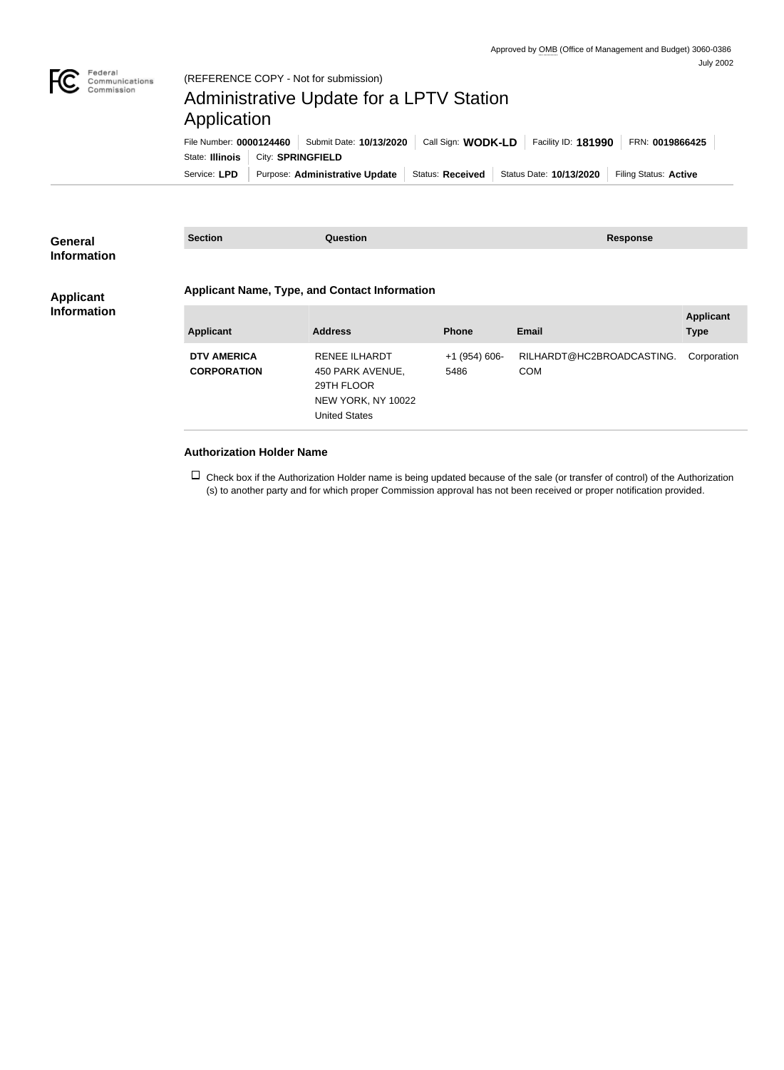

## Administrative Update for a LPTV Station Application

| File Number: 0000124460 |                          | Submit Date: 10/13/2020        | Call Sign: <b>WODK-LD</b> |  | Facility ID: 181990     | FRN: 0019866425       |
|-------------------------|--------------------------|--------------------------------|---------------------------|--|-------------------------|-----------------------|
| State: Illinois         | City: <b>SPRINGFIELD</b> |                                |                           |  |                         |                       |
| Service: LPD            |                          | Purpose: Administrative Update | Status: Received          |  | Status Date: 10/13/2020 | Filing Status: Active |

| <b>General</b>     | <b>Section</b><br><b>Question</b>                    |                      |                 | <b>Response</b>           |                  |  |  |
|--------------------|------------------------------------------------------|----------------------|-----------------|---------------------------|------------------|--|--|
| <b>Information</b> |                                                      |                      |                 |                           |                  |  |  |
| <b>Applicant</b>   | <b>Applicant Name, Type, and Contact Information</b> |                      |                 |                           |                  |  |  |
| <b>Information</b> |                                                      |                      |                 |                           | <b>Applicant</b> |  |  |
|                    | <b>Applicant</b>                                     | <b>Address</b>       | <b>Phone</b>    | <b>Email</b>              | <b>Type</b>      |  |  |
|                    | <b>DTV AMERICA</b>                                   | <b>RENEE ILHARDT</b> | $+1$ (954) 606- | RILHARDT@HC2BROADCASTING. | Corporation      |  |  |
|                    | <b>CORPORATION</b>                                   | 450 PARK AVENUE,     | 5486            | <b>COM</b>                |                  |  |  |
|                    |                                                      | 29TH FLOOR           |                 |                           |                  |  |  |
|                    |                                                      | NEW YORK, NY 10022   |                 |                           |                  |  |  |
|                    |                                                      | <b>United States</b> |                 |                           |                  |  |  |
|                    |                                                      |                      |                 |                           |                  |  |  |

## **Authorization Holder Name**

 $\Box$  Check box if the Authorization Holder name is being updated because of the sale (or transfer of control) of the Authorization (s) to another party and for which proper Commission approval has not been received or proper notification provided.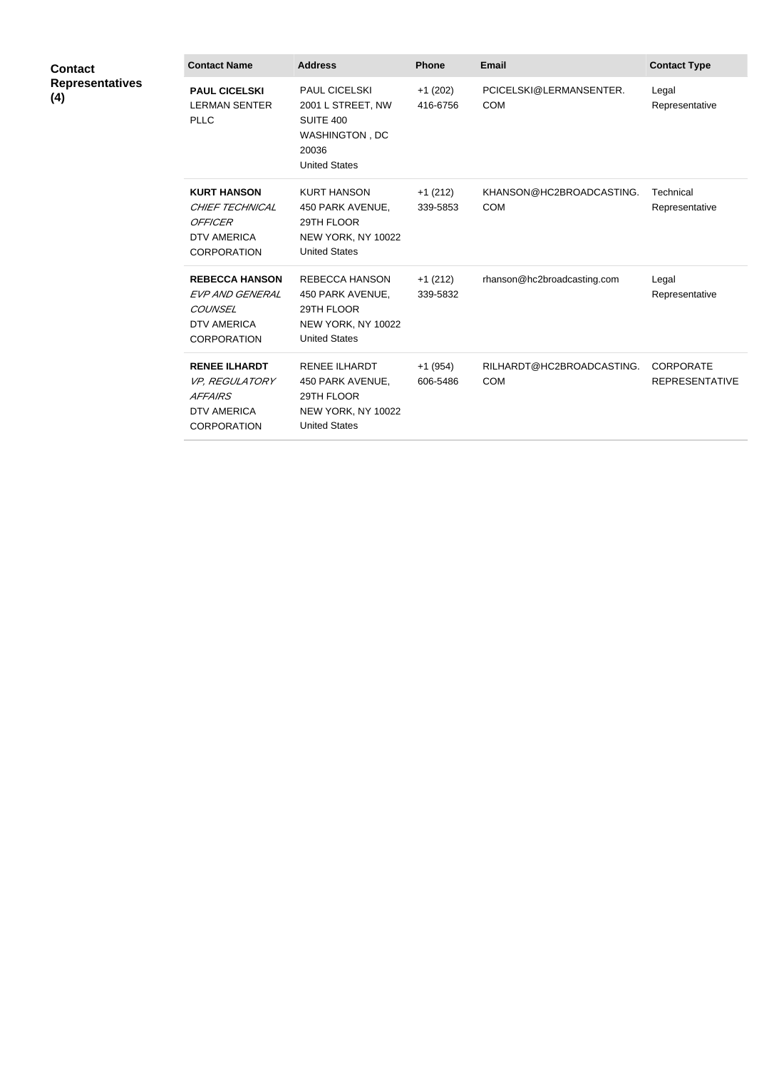| <b>Contact</b><br><b>Representatives</b><br>(4) | <b>Contact Name</b>                                                                                         | <b>Address</b>                                                                                            | <b>Phone</b>          | <b>Email</b>                            | <b>Contact Type</b>                       |
|-------------------------------------------------|-------------------------------------------------------------------------------------------------------------|-----------------------------------------------------------------------------------------------------------|-----------------------|-----------------------------------------|-------------------------------------------|
|                                                 | <b>PAUL CICELSKI</b><br><b>LERMAN SENTER</b><br><b>PLLC</b>                                                 | PAUL CICELSKI<br>2001 L STREET, NW<br><b>SUITE 400</b><br>WASHINGTON, DC<br>20036<br><b>United States</b> | $+1(202)$<br>416-6756 | PCICELSKI@LERMANSENTER.<br><b>COM</b>   | Legal<br>Representative                   |
|                                                 | <b>KURT HANSON</b><br>CHIEF TECHNICAL<br><b>OFFICER</b><br><b>DTV AMERICA</b><br><b>CORPORATION</b>         | <b>KURT HANSON</b><br>450 PARK AVENUE,<br>29TH FLOOR<br>NEW YORK, NY 10022<br><b>United States</b>        | $+1(212)$<br>339-5853 | KHANSON@HC2BROADCASTING.<br><b>COM</b>  | Technical<br>Representative               |
|                                                 | <b>REBECCA HANSON</b><br>EVP AND GENERAL<br>COUNSEL<br><b>DTV AMERICA</b><br><b>CORPORATION</b>             | <b>REBECCA HANSON</b><br>450 PARK AVENUE,<br>29TH FLOOR<br>NEW YORK, NY 10022<br><b>United States</b>     | $+1(212)$<br>339-5832 | rhanson@hc2broadcasting.com             | Legal<br>Representative                   |
|                                                 | <b>RENEE ILHARDT</b><br><b>VP, REGULATORY</b><br><b>AFFAIRS</b><br><b>DTV AMERICA</b><br><b>CORPORATION</b> | <b>RENEE ILHARDT</b><br>450 PARK AVENUE,<br>29TH FLOOR<br>NEW YORK, NY 10022<br><b>United States</b>      | $+1(954)$<br>606-5486 | RILHARDT@HC2BROADCASTING.<br><b>COM</b> | <b>CORPORATE</b><br><b>REPRESENTATIVE</b> |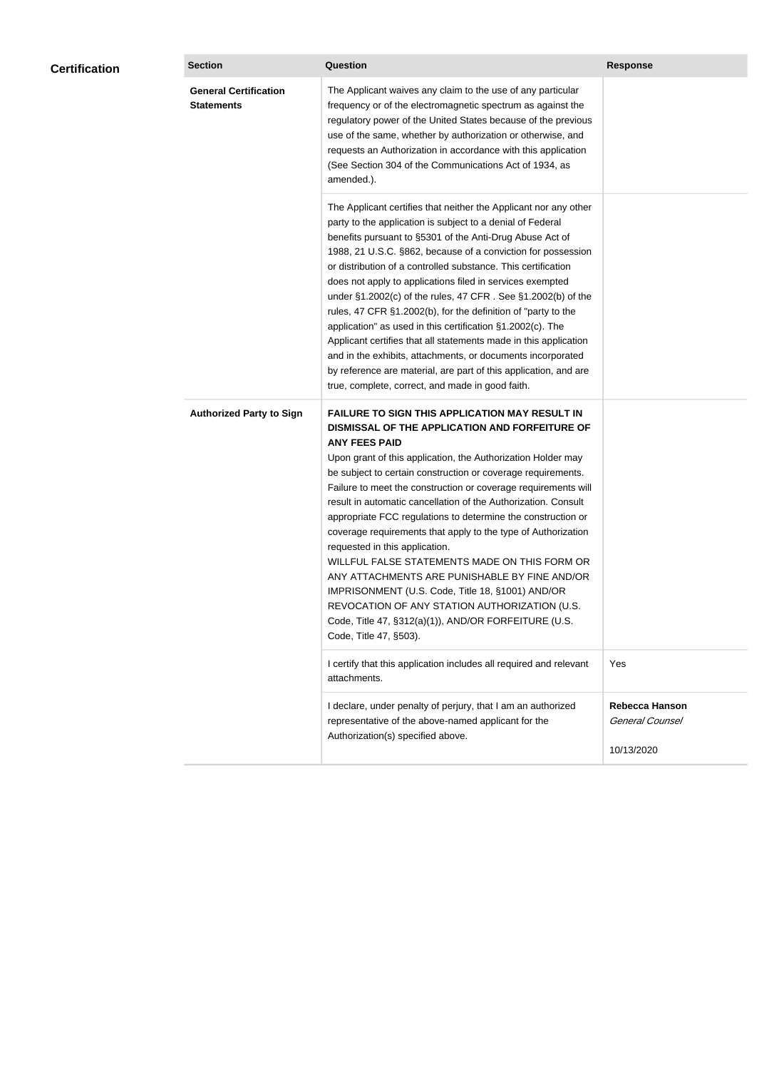| <b>Certification</b> | <b>Section</b>                                    | <b>Question</b>                                                                                                                                                                                                                                                                                                                                                                                                                                                                                                                                                                                                                                                                                                                                                                                                                                                 | <b>Response</b>                          |
|----------------------|---------------------------------------------------|-----------------------------------------------------------------------------------------------------------------------------------------------------------------------------------------------------------------------------------------------------------------------------------------------------------------------------------------------------------------------------------------------------------------------------------------------------------------------------------------------------------------------------------------------------------------------------------------------------------------------------------------------------------------------------------------------------------------------------------------------------------------------------------------------------------------------------------------------------------------|------------------------------------------|
|                      | <b>General Certification</b><br><b>Statements</b> | The Applicant waives any claim to the use of any particular<br>frequency or of the electromagnetic spectrum as against the<br>regulatory power of the United States because of the previous<br>use of the same, whether by authorization or otherwise, and<br>requests an Authorization in accordance with this application<br>(See Section 304 of the Communications Act of 1934, as<br>amended.).                                                                                                                                                                                                                                                                                                                                                                                                                                                             |                                          |
|                      |                                                   | The Applicant certifies that neither the Applicant nor any other<br>party to the application is subject to a denial of Federal<br>benefits pursuant to §5301 of the Anti-Drug Abuse Act of<br>1988, 21 U.S.C. §862, because of a conviction for possession<br>or distribution of a controlled substance. This certification<br>does not apply to applications filed in services exempted<br>under $\S1.2002(c)$ of the rules, 47 CFR . See $\S1.2002(b)$ of the<br>rules, 47 CFR §1.2002(b), for the definition of "party to the<br>application" as used in this certification §1.2002(c). The<br>Applicant certifies that all statements made in this application<br>and in the exhibits, attachments, or documents incorporated<br>by reference are material, are part of this application, and are<br>true, complete, correct, and made in good faith.       |                                          |
|                      | <b>Authorized Party to Sign</b>                   | <b>FAILURE TO SIGN THIS APPLICATION MAY RESULT IN</b><br>DISMISSAL OF THE APPLICATION AND FORFEITURE OF<br><b>ANY FEES PAID</b><br>Upon grant of this application, the Authorization Holder may<br>be subject to certain construction or coverage requirements.<br>Failure to meet the construction or coverage requirements will<br>result in automatic cancellation of the Authorization. Consult<br>appropriate FCC regulations to determine the construction or<br>coverage requirements that apply to the type of Authorization<br>requested in this application.<br>WILLFUL FALSE STATEMENTS MADE ON THIS FORM OR<br>ANY ATTACHMENTS ARE PUNISHABLE BY FINE AND/OR<br>IMPRISONMENT (U.S. Code, Title 18, §1001) AND/OR<br>REVOCATION OF ANY STATION AUTHORIZATION (U.S.<br>Code, Title 47, §312(a)(1)), AND/OR FORFEITURE (U.S.<br>Code, Title 47, §503). |                                          |
|                      |                                                   | I certify that this application includes all required and relevant<br>attachments.                                                                                                                                                                                                                                                                                                                                                                                                                                                                                                                                                                                                                                                                                                                                                                              | Yes                                      |
|                      |                                                   | I declare, under penalty of perjury, that I am an authorized<br>representative of the above-named applicant for the<br>Authorization(s) specified above.                                                                                                                                                                                                                                                                                                                                                                                                                                                                                                                                                                                                                                                                                                        | <b>Rebecca Hanson</b><br>General Counsel |
|                      |                                                   |                                                                                                                                                                                                                                                                                                                                                                                                                                                                                                                                                                                                                                                                                                                                                                                                                                                                 | 10/13/2020                               |